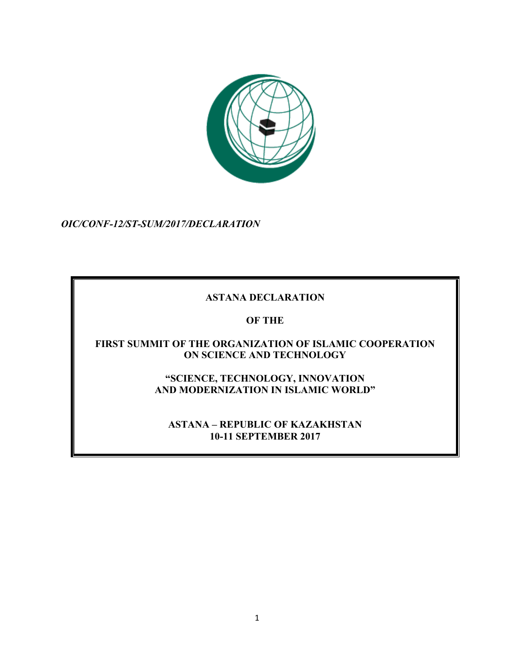

*OIC/CONF-12/ST-SUM/2017/DECLARATION*

# **ASTANA DECLARATION**

## **OF THE**

### **FIRST SUMMIT OF THE ORGANIZATION OF ISLAMIC COOPERATION ON SCIENCE AND TECHNOLOGY**

**"SCIENCE, TECHNOLOGY, INNOVATION AND MODERNIZATION IN ISLAMIC WORLD"**

**ASTANA – REPUBLIC OF KAZAKHSTAN 10-11 SEPTEMBER 2017**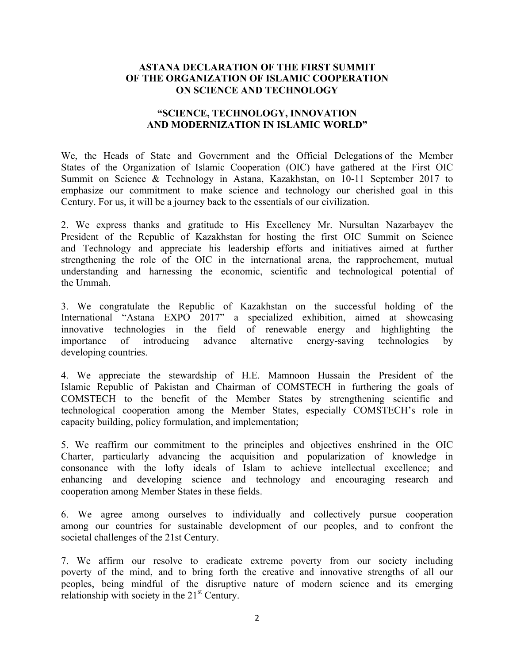#### **ASTANA DECLARATION OF THE FIRST SUMMIT OF THE ORGANIZATION OF ISLAMIC COOPERATION ON SCIENCE AND TECHNOLOGY**

#### **"SCIENCE, TECHNOLOGY, INNOVATION AND MODERNIZATION IN ISLAMIC WORLD"**

We, the Heads of State and Government and the Official Delegations of the Member States of the Organization of Islamic Cooperation (OIC) have gathered at the First OIC Summit on Science & Technology in Astana, Kazakhstan, on 10-11 September 2017 to emphasize our commitment to make science and technology our cherished goal in this Century. For us, it will be a journey back to the essentials of our civilization.

2. We express thanks and gratitude to His Excellency Mr. Nursultan Nazarbayev the President of the Republic of Kazakhstan for hosting the first OIC Summit on Science and Technology and appreciate his leadership efforts and initiatives aimed at further strengthening the role of the OIC in the international arena, the rapprochement, mutual understanding and harnessing the economic, scientific and technological potential of the Ummah.

3. We congratulate the Republic of Kazakhstan on the successful holding of the International "Astana EXPO 2017" a specialized exhibition, aimed at showcasing innovative technologies in the field of renewable energy and highlighting the importance of introducing advance alternative energy-saving technologies by developing countries.

4. We appreciate the stewardship of H.E. Mamnoon Hussain the President of the Islamic Republic of Pakistan and Chairman of COMSTECH in furthering the goals of COMSTECH to the benefit of the Member States by strengthening scientific and technological cooperation among the Member States, especially COMSTECH's role in capacity building, policy formulation, and implementation;

5. We reaffirm our commitment to the principles and objectives enshrined in the OIC Charter, particularly advancing the acquisition and popularization of knowledge in consonance with the lofty ideals of Islam to achieve intellectual excellence; and enhancing and developing science and technology and encouraging research and cooperation among Member States in these fields.

6. We agree among ourselves to individually and collectively pursue cooperation among our countries for sustainable development of our peoples, and to confront the societal challenges of the 21st Century.

7. We affirm our resolve to eradicate extreme poverty from our society including poverty of the mind, and to bring forth the creative and innovative strengths of all our peoples, being mindful of the disruptive nature of modern science and its emerging relationship with society in the  $21<sup>st</sup>$  Century.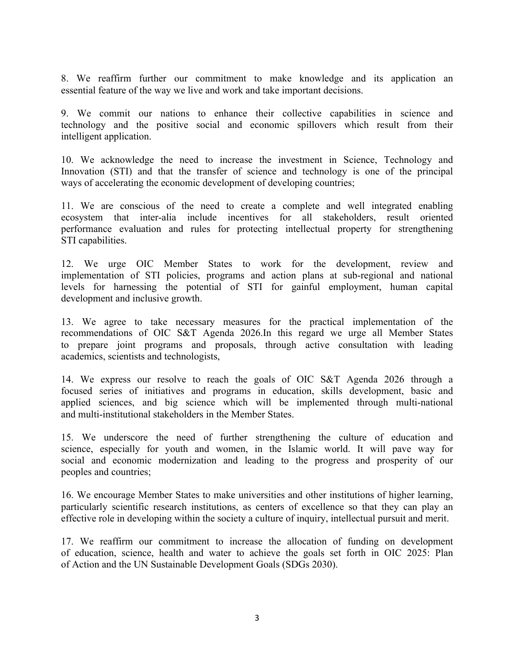8. We reaffirm further our commitment to make knowledge and its application an essential feature of the way we live and work and take important decisions.

9. We commit our nations to enhance their collective capabilities in science and technology and the positive social and economic spillovers which result from their intelligent application.

10. We acknowledge the need to increase the investment in Science, Technology and Innovation (STI) and that the transfer of science and technology is one of the principal ways of accelerating the economic development of developing countries;

11. We are conscious of the need to create a complete and well integrated enabling ecosystem that inter-alia include incentives for all stakeholders, result oriented performance evaluation and rules for protecting intellectual property for strengthening STI capabilities.

12. We urge OIC Member States to work for the development, review and implementation of STI policies, programs and action plans at sub-regional and national levels for harnessing the potential of STI for gainful employment, human capital development and inclusive growth.

13. We agree to take necessary measures for the practical implementation of the recommendations of OIC S&T Agenda 2026.In this regard we urge all Member States to prepare joint programs and proposals, through active consultation with leading academics, scientists and technologists,

14. We express our resolve to reach the goals of OIC S&T Agenda 2026 through a focused series of initiatives and programs in education, skills development, basic and applied sciences, and big science which will be implemented through multi-national and multi-institutional stakeholders in the Member States.

15. We underscore the need of further strengthening the culture of education and science, especially for youth and women, in the Islamic world. It will pave way for social and economic modernization and leading to the progress and prosperity of our peoples and countries;

16. We encourage Member States to make universities and other institutions of higher learning, particularly scientific research institutions, as centers of excellence so that they can play an effective role in developing within the society a culture of inquiry, intellectual pursuit and merit.

17. We reaffirm our commitment to increase the allocation of funding on development of education, science, health and water to achieve the goals set forth in OIC 2025: Plan of Action and the UN Sustainable Development Goals (SDGs 2030).